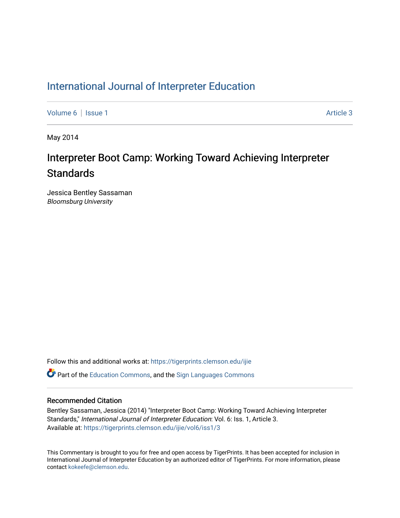# [International Journal of Interpreter Education](https://tigerprints.clemson.edu/ijie)

[Volume 6](https://tigerprints.clemson.edu/ijie/vol6) | [Issue 1](https://tigerprints.clemson.edu/ijie/vol6/iss1) Article 3

May 2014

# Interpreter Boot Camp: Working Toward Achieving Interpreter **Standards**

Jessica Bentley Sassaman Bloomsburg University

Follow this and additional works at: [https://tigerprints.clemson.edu/ijie](https://tigerprints.clemson.edu/ijie?utm_source=tigerprints.clemson.edu%2Fijie%2Fvol6%2Fiss1%2F3&utm_medium=PDF&utm_campaign=PDFCoverPages) 

 $\bullet$  Part of the [Education Commons](https://network.bepress.com/hgg/discipline/784?utm_source=tigerprints.clemson.edu%2Fijie%2Fvol6%2Fiss1%2F3&utm_medium=PDF&utm_campaign=PDFCoverPages), and the Sign Languages Commons

# Recommended Citation

Bentley Sassaman, Jessica (2014) "Interpreter Boot Camp: Working Toward Achieving Interpreter Standards," International Journal of Interpreter Education: Vol. 6: Iss. 1, Article 3. Available at: [https://tigerprints.clemson.edu/ijie/vol6/iss1/3](https://tigerprints.clemson.edu/ijie/vol6/iss1/3?utm_source=tigerprints.clemson.edu%2Fijie%2Fvol6%2Fiss1%2F3&utm_medium=PDF&utm_campaign=PDFCoverPages)

This Commentary is brought to you for free and open access by TigerPrints. It has been accepted for inclusion in International Journal of Interpreter Education by an authorized editor of TigerPrints. For more information, please contact [kokeefe@clemson.edu.](mailto:kokeefe@clemson.edu)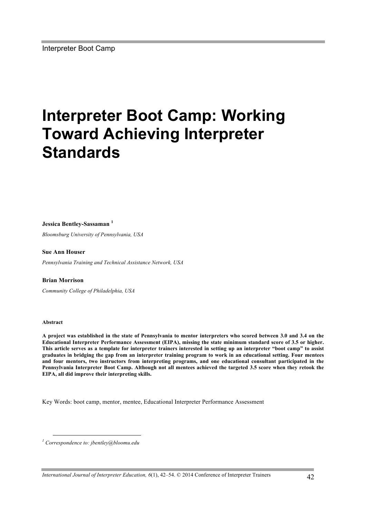# **Interpreter Boot Camp: Working Toward Achieving Interpreter Standards**

#### **Jessica Bentley-Sassaman <sup>1</sup>**

*Bloomsburg University of Pennsylvania, USA*

#### **Sue Ann Houser**

*Pennsylvania Training and Technical Assistance Network, USA*

#### **Brian Morrison**

*Community College of Philadelphia, USA*

#### **Abstract**

 $\overline{a}$ 

**A project was established in the state of Pennsylvania to mentor interpreters who scored between 3.0 and 3.4 on the Educational Interpreter Performance Assessment (EIPA), missing the state minimum standard score of 3.5 or higher. This article serves as a template for interpreter trainers interested in setting up an interpreter "boot camp" to assist graduates in bridging the gap from an interpreter training program to work in an educational setting. Four mentees and four mentors, two instructors from interpreting programs, and one educational consultant participated in the Pennsylvania Interpreter Boot Camp. Although not all mentees achieved the targeted 3.5 score when they retook the EIPA, all did improve their interpreting skills.**

Key Words: boot camp, mentor, mentee, Educational Interpreter Performance Assessment

*<sup>1</sup> Correspondence to: jbentley@bloomu.edu*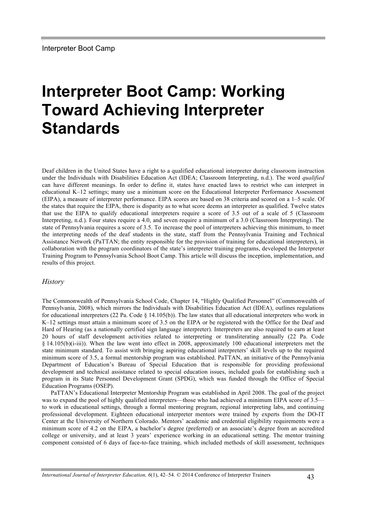# **Interpreter Boot Camp: Working Toward Achieving Interpreter Standards**

Deaf children in the United States have a right to a qualified educational interpreter during classroom instruction under the Individuals with Disabilities Education Act (IDEA; Classroom Interpreting, n.d.). The word *qualified* can have different meanings. In order to define it, states have enacted laws to restrict who can interpret in educational K–12 settings; many use a minimum score on the Educational Interpreter Performance Assessment (EIPA), a measure of interpreter performance. EIPA scores are based on 38 criteria and scored on a 1–5 scale. Of the states that require the EIPA, there is disparity as to what score deems an interpreter as qualified. Twelve states that use the EIPA to qualify educational interpreters require a score of 3.5 out of a scale of 5 (Classroom Interpreting, n.d.). Four states require a 4.0, and seven require a minimum of a 3.0 (Classroom Interpreting). The state of Pennsylvania requires a score of 3.5. To increase the pool of interpreters achieving this minimum, to meet the interpreting needs of the deaf students in the state, staff from the Pennsylvania Training and Technical Assistance Network (PaTTAN; the entity responsible for the provision of training for educational interpreters), in collaboration with the program coordinators of the state's interpreter training programs, developed the Interpreter Training Program to Pennsylvania School Boot Camp. This article will discuss the inception, implementation, and results of this project.

# *History*

The Commonwealth of Pennsylvania School Code, Chapter 14, "Highly Qualified Personnel" (Commonwealth of Pennsylvania, 2008), which mirrors the Individuals with Disabilities Education Act (IDEA), outlines regulations for educational interpreters (22 Pa. Code  $\S$  14.105(b)). The law states that all educational interpreters who work in K–12 settings must attain a minimum score of 3.5 on the EIPA or be registered with the Office for the Deaf and Hard of Hearing (as a nationally certified sign language interpreter). Interpreters are also required to earn at least 20 hours of staff development activities related to interpreting or transliterating annually (22 Pa. Code § 14.105(b)(i-iii)). When the law went into effect in 2008, approximately 100 educational interpreters met the state minimum standard. To assist with bringing aspiring educational interpreters' skill levels up to the required minimum score of 3.5, a formal mentorship program was established. PaTTAN, an initiative of the Pennsylvania Department of Education's Bureau of Special Education that is responsible for providing professional development and technical assistance related to special education issues, included goals for establishing such a program in its State Personnel Development Grant (SPDG), which was funded through the Office of Special Education Programs (OSEP).

PaTTAN's Educational Interpreter Mentorship Program was established in April 2008. The goal of the project was to expand the pool of highly qualified interpreters—those who had achieved a minimum EIPA score of 3.5 to work in educational settings, through a formal mentoring program, regional interpreting labs, and continuing professional development. Eighteen educational interpreter mentors were trained by experts from the DO-IT Center at the University of Northern Colorado. Mentors' academic and credential eligibility requirements were a minimum score of 4.2 on the EIPA, a bachelor's degree (preferred) or an associate's degree from an accredited college or university, and at least 3 years' experience working in an educational setting. The mentor training component consisted of 6 days of face-to-face training, which included methods of skill assessment, techniques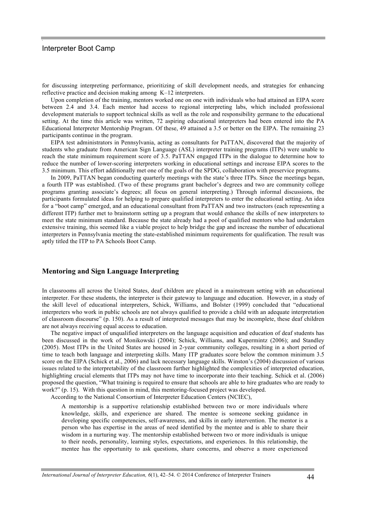for discussing interpreting performance, prioritizing of skill development needs, and strategies for enhancing reflective practice and decision making among K–12 interpreters.

Upon completion of the training, mentors worked one on one with individuals who had attained an EIPA score between 2.4 and 3.4. Each mentor had access to regional interpreting labs, which included professional development materials to support technical skills as well as the role and responsibility germane to the educational setting. At the time this article was written, 72 aspiring educational interpreters had been entered into the PA Educational Interpreter Mentorship Program. Of these, 49 attained a 3.5 or better on the EIPA. The remaining 23 participants continue in the program.

EIPA test administrators in Pennsylvania, acting as consultants for PaTTAN, discovered that the majority of students who graduate from American Sign Language (ASL) interpreter training programs (ITPs) were unable to reach the state minimum requirement score of 3.5. PaTTAN engaged ITPs in the dialogue to determine how to reduce the number of lower-scoring interpreters working in educational settings and increase EIPA scores to the 3.5 minimum. This effort additionally met one of the goals of the SPDG, collaboration with preservice programs.

In 2009, PaTTAN began conducting quarterly meetings with the state's three ITPs. Since the meetings began, a fourth ITP was established. (Two of these programs grant bachelor's degrees and two are community college programs granting associate's degrees; all focus on general interpreting.) Through informal discussions, the participants formulated ideas for helping to prepare qualified interpreters to enter the educational setting. An idea for a "boot camp" emerged, and an educational consultant from PaTTAN and two instructors (each representing a different ITP) further met to brainstorm setting up a program that would enhance the skills of new interpreters to meet the state minimum standard. Because the state already had a pool of qualified mentors who had undertaken extensive training, this seemed like a viable project to help bridge the gap and increase the number of educational interpreters in Pennsylvania meeting the state-established minimum requirements for qualification. The result was aptly titled the ITP to PA Schools Boot Camp.

#### **Mentoring and Sign Language Interpreting**

In classrooms all across the United States, deaf children are placed in a mainstream setting with an educational interpreter. For these students, the interpreter is their gateway to language and education. However, in a study of the skill level of educational interpreters, Schick, Williams, and Bolster (1999) concluded that "educational interpreters who work in public schools are not always qualified to provide a child with an adequate interpretation of classroom discourse" (p. 150). As a result of interpreted messages that may be incomplete, these deaf children are not always receiving equal access to education.

The negative impact of unqualified interpreters on the language acquisition and education of deaf students has been discussed in the work of Monikowski (2004); Schick, Williams, and Kupermintz (2006); and Standley (2005). Most ITPs in the United States are housed in 2-year community colleges, resulting in a short period of time to teach both language and interpreting skills. Many ITP graduates score below the common minimum 3.5 score on the EIPA (Schick et al., 2006) and lack necessary language skills. Winston's (2004) discussion of various issues related to the interpretability of the classroom further highlighted the complexities of interpreted education, highlighting crucial elements that ITPs may not have time to incorporate into their teaching. Schick et al. (2006) proposed the question, "What training is required to ensure that schools are able to hire graduates who are ready to work?" (p. 15). With this question in mind, this mentoring-focused project was developed.

According to the National Consortium of Interpreter Education Centers (NCIEC),

A mentorship is a supportive relationship established between two or more individuals where knowledge, skills, and experience are shared. The mentee is someone seeking guidance in developing specific competencies, self-awareness, and skills in early intervention. The mentor is a person who has expertise in the areas of need identified by the mentee and is able to share their wisdom in a nurturing way. The mentorship established between two or more individuals is unique to their needs, personality, learning styles, expectations, and experiences. In this relationship, the mentee has the opportunity to ask questions, share concerns, and observe a more experienced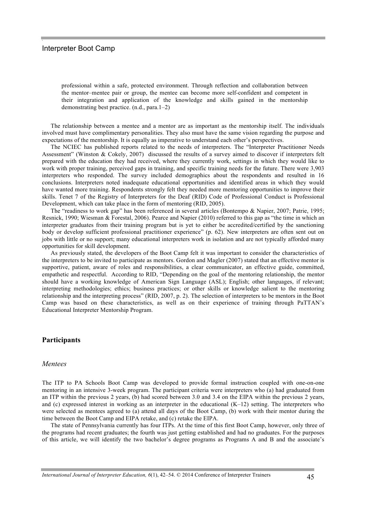professional within a safe, protected environment. Through reflection and collaboration between the mentor–mentee pair or group, the mentee can become more self-confident and competent in their integration and application of the knowledge and skills gained in the mentorship demonstrating best practice. (n.d., para.1–2)

The relationship between a mentee and a mentor are as important as the mentorship itself. The individuals involved must have complimentary personalities. They also must have the same vision regarding the purpose and expectations of the mentorship. It is equally as imperative to understand each other's perspectives.

The NCIEC has published reports related to the needs of interpreters. The "Interpreter Practitioner Needs Assessment" (Winston & Cokely, 2007) discussed the results of a survey aimed to discover if interpreters felt prepared with the education they had received, where they currently work, settings in which they would like to work with proper training, perceived gaps in training, and specific training needs for the future. There were 3,903 interpreters who responded. The survey included demographics about the respondents and resulted in 16 conclusions. Interpreters noted inadequate educational opportunities and identified areas in which they would have wanted more training. Respondents strongly felt they needed more mentoring opportunities to improve their skills. Tenet 7 of the Registry of Interpreters for the Deaf (RID) Code of Professional Conduct is Professional Development, which can take place in the form of mentoring (RID, 2005).

The "readiness to work gap" has been referenced in several articles (Bontempo & Napier, 2007; Patrie, 1995; Resnick, 1990; Wiesman & Forestal, 2006). Pearce and Napier (2010) referred to this gap as "the time in which an interpreter graduates from their training program but is yet to either be accredited/certified by the sanctioning body or develop sufficient professional practitioner experience" (p. 62). New interpreters are often sent out on jobs with little or no support; many educational interpreters work in isolation and are not typically afforded many opportunities for skill development.

As previously stated, the developers of the Boot Camp felt it was important to consider the characteristics of the interpreters to be invited to participate as mentors. Gordon and Magler (2007) stated that an effective mentor is supportive, patient, aware of roles and responsibilities, a clear communicator, an effective guide, committed, empathetic and respectful. According to RID, "Depending on the goal of the mentoring relationship, the mentor should have a working knowledge of American Sign Language (ASL); English; other languages, if relevant; interpreting methodologies; ethics; business practices; or other skills or knowledge salient to the mentoring relationship and the interpreting process" (RID, 2007, p. 2). The selection of interpreters to be mentors in the Boot Camp was based on these characteristics, as well as on their experience of training through PaTTAN's Educational Interpreter Mentorship Program.

## **Participants**

#### *Mentees*

The ITP to PA Schools Boot Camp was developed to provide formal instruction coupled with one-on-one mentoring in an intensive 3-week program. The participant criteria were interpreters who (a) had graduated from an ITP within the previous 2 years, (b) had scored between 3.0 and 3.4 on the EIPA within the previous 2 years, and (c) expressed interest in working as an interpreter in the educational (K–12) setting. The interpreters who were selected as mentees agreed to (a) attend all days of the Boot Camp, (b) work with their mentor during the time between the Boot Camp and EIPA retake, and (c) retake the EIPA.

The state of Pennsylvania currently has four ITPs. At the time of this first Boot Camp, however, only three of the programs had recent graduates; the fourth was just getting established and had no graduates. For the purposes of this article, we will identify the two bachelor's degree programs as Programs A and B and the associate's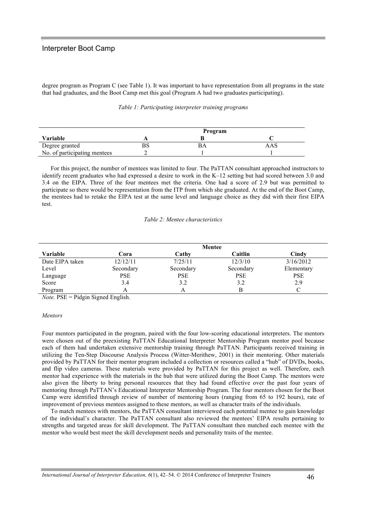degree program as Program C (see Table 1). It was important to have representation from all programs in the state that had graduates, and the Boot Camp met this goal (Program A had two graduates participating).

|  | Table 1: Participating interpreter training programs |  |  |  |
|--|------------------------------------------------------|--|--|--|
|--|------------------------------------------------------|--|--|--|

|                              | Program |  |  |  |
|------------------------------|---------|--|--|--|
| Variable                     |         |  |  |  |
| Degree granted               |         |  |  |  |
| No. of participating mentees |         |  |  |  |

For this project, the number of mentees was limited to four. The PaTTAN consultant approached instructors to identify recent graduates who had expressed a desire to work in the K–12 setting but had scored between 3.0 and 3.4 on the EIPA. Three of the four mentees met the criteria. One had a score of 2.9 but was permitted to participate so there would be representation from the ITP from which she graduated. At the end of the Boot Camp, the mentees had to retake the EIPA test at the same level and language choice as they did with their first EIPA test.

#### *Table 2: Mentee characteristics*

|                 | Mentee     |            |            |            |  |
|-----------------|------------|------------|------------|------------|--|
| Variable        | Cora       | Cathv      | Caitlin    | Cindy      |  |
| Date EIPA taken | 12/12/11   | 7/25/11    | 12/3/10    | 3/16/2012  |  |
| Level           | Secondary  | Secondary  | Secondary  | Elementary |  |
| Language        | <b>PSE</b> | <b>PSE</b> | <b>PSE</b> | <b>PSE</b> |  |
| Score           | 3.4        | 3.2        | 3.2        | 2.9        |  |
| Program         |            |            | B          |            |  |

*Note.* PSE = Pidgin Signed English.

#### *Mentors*

Four mentors participated in the program, paired with the four low-scoring educational interpreters. The mentors were chosen out of the preexisting PaTTAN Educational Interpreter Mentorship Program mentor pool because each of them had undertaken extensive mentorship training through PaTTAN. Participants received training in utilizing the Ten-Step Discourse Analysis Process (Witter-Merithew, 2001) in their mentoring. Other materials provided by PaTTAN for their mentor program included a collection or resources called a "hub" of DVDs, books, and flip video cameras. These materials were provided by PaTTAN for this project as well. Therefore, each mentor had experience with the materials in the hub that were utilized during the Boot Camp. The mentors were also given the liberty to bring personal resources that they had found effective over the past four years of mentoring through PaTTAN's Educational Interpreter Mentorship Program. The four mentors chosen for the Boot Camp were identified through review of number of mentoring hours (ranging from 65 to 192 hours), rate of improvement of previous mentees assigned to these mentors, as well as character traits of the individuals.

To match mentees with mentors, the PaTTAN consultant interviewed each potential mentee to gain knowledge of the individual's character. The PaTTAN consultant also reviewed the mentees' EIPA results pertaining to strengths and targeted areas for skill development. The PaTTAN consultant then matched each mentee with the mentor who would best meet the skill development needs and personality traits of the mentee.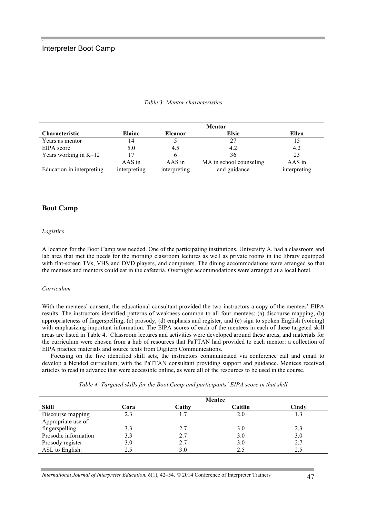|                           | <b>Mentor</b> |                |                         |              |  |
|---------------------------|---------------|----------------|-------------------------|--------------|--|
| <b>Characteristic</b>     | <b>Elaine</b> | <b>Eleanor</b> | <b>Elsie</b>            | Ellen        |  |
| Years as mentor           | 14            |                | 27                      | 15           |  |
| EIPA score                | 5.0           | 4.5            | 4.2                     | 4.2          |  |
| Years working in $K-12$   |               | h.             | 36                      | 23           |  |
|                           | $AAS$ in      | AAS in         | MA in school counseling | AAS in       |  |
| Education in interpreting | interpreting  | interpreting   | and guidance            | interpreting |  |

#### *Table 3: Mentor characteristics*

# **Boot Camp**

#### *Logistics*

A location for the Boot Camp was needed. One of the participating institutions, University A, had a classroom and lab area that met the needs for the morning classroom lectures as well as private rooms in the library equipped with flat-screen TVs, VHS and DVD players, and computers. The dining accommodations were arranged so that the mentees and mentors could eat in the cafeteria. Overnight accommodations were arranged at a local hotel.

#### *Curriculum*

With the mentees' consent, the educational consultant provided the two instructors a copy of the mentees' EIPA results. The instructors identified patterns of weakness common to all four mentees: (a) discourse mapping, (b) appropriateness of fingerspelling, (c) prosody, (d) emphasis and register, and (e) sign to spoken English (voicing) with emphasizing important information. The EIPA scores of each of the mentees in each of these targeted skill areas are listed in Table 4. Classroom lectures and activities were developed around these areas, and materials for the curriculum were chosen from a hub of resources that PaTTAN had provided to each mentor: a collection of EIPA practice materials and source texts from Digiterp Communications.

Focusing on the five identified skill sets, the instructors communicated via conference call and email to develop a blended curriculum, with the PaTTAN consultant providing support and guidance. Mentees received articles to read in advance that were accessible online, as were all of the resources to be used in the course.

| <b>Skill</b>         | Cora | Cathy | Caitlin | Cindy |
|----------------------|------|-------|---------|-------|
| Discourse mapping    | 2.3  |       | 2.0     |       |
| Appropriate use of   |      |       |         |       |
| fingerspelling       | 3.3  | 2.7   | 3.0     | 2.3   |
| Prosodic information | 3.3  | 2.7   | 3.0     | 3.0   |
| Prosody register     |      | 2.7   | 3.0     | 2.7   |

ASL to English: 2.5 3.0 2.5 2.5 2.5

*Table 4: Targeted skills for the Boot Camp and participants' EIPA score in that skill*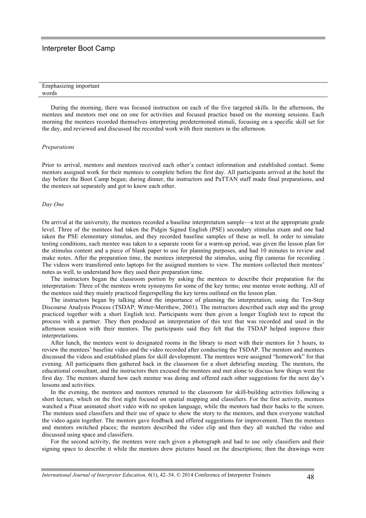| $\mathbf{r}$<br>Emphasizing important |  |
|---------------------------------------|--|
| words                                 |  |

During the morning, there was focused instruction on each of the five targeted skills. In the afternoon, the mentees and mentors met one on one for activities and focused practice based on the morning sessions. Each morning the mentees recorded themselves interpreting predetermined stimuli, focusing on a specific skill set for the day, and reviewed and discussed the recorded work with their mentors in the afternoon.

#### *Preparations*

Prior to arrival, mentors and mentees received each other's contact information and established contact. Some mentors assigned work for their mentees to complete before the first day. All participants arrived at the hotel the day before the Boot Camp began; during dinner, the instructors and PaTTAN staff made final preparations, and the mentees sat separately and got to know each other.

#### *Day One*

On arrival at the university, the mentees recorded a baseline interpretation sample—a text at the appropriate grade level. Three of the mentees had taken the Pidgin Signed English (PSE) secondary stimulus exam and one had taken the PSE elementary stimulus, and they recorded baseline samples of these as well. In order to simulate testing conditions, each mentee was taken to a separate room for a warm-up period, was given the lesson plan for the stimulus content and a piece of blank paper to use for planning purposes, and had 10 minutes to review and make notes. After the preparation time, the mentees interpreted the stimulus, using flip cameras for recording . The videos were transferred onto laptops for the assigned mentors to view. The mentors collected their mentees' notes as well, to understand how they used their preparation time.

The instructors began the classroom portion by asking the mentees to describe their preparation for the interpretation: Three of the mentees wrote synonyms for some of the key terms; one mentee wrote nothing. All of the mentees said they mainly practiced fingerspelling the key terms outlined on the lesson plan.

The instructors began by talking about the importance of planning the interpretation, using the Ten-Step Discourse Analysis Process (TSDAP; Witter-Merithew, 2001). The instructors described each step and the group practiced together with a short English text. Participants were then given a longer English text to repeat the process with a partner. They then produced an interpretation of this text that was recorded and used in the afternoon session with their mentors. The participants said they felt that the TSDAP helped improve their interpretations.

After lunch, the mentees went to designated rooms in the library to meet with their mentors for 3 hours, to review the mentees' baseline video and the video recorded after conducting the TSDAP. The mentors and mentees discussed the videos and established plans for skill development. The mentees were assigned "homework" for that evening. All participants then gathered back in the classroom for a short debriefing meeting. The mentors, the educational consultant, and the instructors then excused the mentees and met alone to discuss how things went the first day. The mentors shared how each mentee was doing and offered each other suggestions for the next day's lessons and activities.

In the evening, the mentees and mentors returned to the classroom for skill-building activities following a short lecture, which on the first night focused on spatial mapping and classifiers. For the first activity, mentees watched a Pixar animated short video with no spoken language, while the mentors had their backs to the screen. The mentees used classifiers and their use of space to show the story to the mentors, and then everyone watched the video again together. The mentors gave feedback and offered suggestions for improvement. Then the mentees and mentors switched places; the mentors described the video clip and then they all watched the video and discussed using space and classifiers.

For the second activity, the mentees were each given a photograph and had to use only classifiers and their signing space to describe it while the mentors drew pictures based on the descriptions; then the drawings were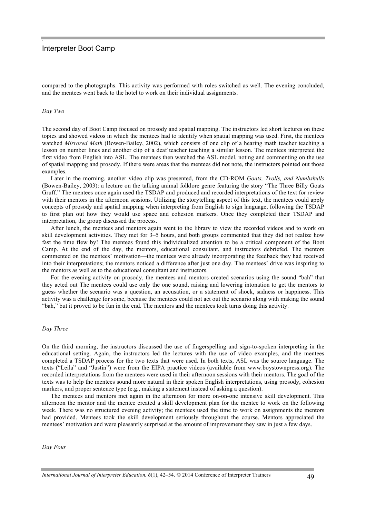compared to the photographs. This activity was performed with roles switched as well. The evening concluded, and the mentees went back to the hotel to work on their individual assignments.

#### *Day Two*

The second day of Boot Camp focused on prosody and spatial mapping. The instructors led short lectures on these topics and showed videos in which the mentees had to identify when spatial mapping was used. First, the mentees watched *Mirrored Math* (Bowen-Bailey, 2002), which consists of one clip of a hearing math teacher teaching a lesson on number lines and another clip of a deaf teacher teaching a similar lesson. The mentees interpreted the first video from English into ASL. The mentees then watched the ASL model, noting and commenting on the use of spatial mapping and prosody. If there were areas that the mentees did not note, the instructors pointed out those examples.

Later in the morning, another video clip was presented, from the CD-ROM *Goats, Trolls, and Numbskulls* (Bowen-Bailey, 2003): a lecture on the talking animal folklore genre featuring the story "The Three Billy Goats Gruff." The mentees once again used the TSDAP and produced and recorded interpretations of the text for review with their mentors in the afternoon sessions. Utilizing the storytelling aspect of this text, the mentees could apply concepts of prosody and spatial mapping when interpreting from English to sign language, following the TSDAP to first plan out how they would use space and cohesion markers. Once they completed their TSDAP and interpretation, the group discussed the process.

After lunch, the mentees and mentors again went to the library to view the recorded videos and to work on skill development activities. They met for 3–5 hours, and both groups commented that they did not realize how fast the time flew by! The mentees found this individualized attention to be a critical component of the Boot Camp. At the end of the day, the mentors, educational consultant, and instructors debriefed. The mentors commented on the mentees' motivation—the mentees were already incorporating the feedback they had received into their interpretations; the mentors noticed a difference after just one day. The mentees' drive was inspiring to the mentors as well as to the educational consultant and instructors.

For the evening activity on prosody, the mentees and mentors created scenarios using the sound "bah" that they acted out The mentees could use only the one sound, raising and lowering intonation to get the mentors to guess whether the scenario was a question, an accusation, or a statement of shock, sadness or happiness. This activity was a challenge for some, because the mentees could not act out the scenario along with making the sound "bah," but it proved to be fun in the end. The mentors and the mentees took turns doing this activity.

#### *Day Three*

On the third morning, the instructors discussed the use of fingerspelling and sign-to-spoken interpreting in the educational setting. Again, the instructors led the lectures with the use of video examples, and the mentees completed a TSDAP process for the two texts that were used. In both texts, ASL was the source language. The texts ("Leila" and "Justin") were from the EIPA practice videos (available from www.boystownpress.org). The recorded interpretations from the mentees were used in their afternoon sessions with their mentors. The goal of the texts was to help the mentees sound more natural in their spoken English interpretations, using prosody, cohesion markers, and proper sentence type (e.g., making a statement instead of asking a question).

The mentees and mentors met again in the afternoon for more on-on-one intensive skill development. This afternoon the mentor and the mentee created a skill development plan for the mentee to work on the following week. There was no structured evening activity; the mentees used the time to work on assignments the mentors had provided. Mentees took the skill development seriously throughout the course. Mentors appreciated the mentees' motivation and were pleasantly surprised at the amount of improvement they saw in just a few days.

*Day Four*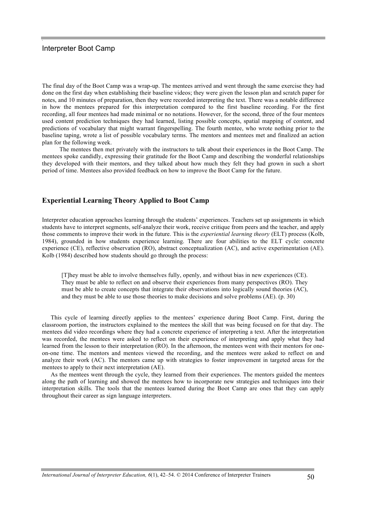The final day of the Boot Camp was a wrap-up. The mentees arrived and went through the same exercise they had done on the first day when establishing their baseline videos; they were given the lesson plan and scratch paper for notes, and 10 minutes of preparation, then they were recorded interpreting the text. There was a notable difference in how the mentees prepared for this interpretation compared to the first baseline recording. For the first recording, all four mentees had made minimal or no notations. However, for the second, three of the four mentees used content prediction techniques they had learned, listing possible concepts, spatial mapping of content, and predictions of vocabulary that might warrant fingerspelling. The fourth mentee, who wrote nothing prior to the baseline taping, wrote a list of possible vocabulary terms. The mentors and mentees met and finalized an action plan for the following week.

The mentees then met privately with the instructors to talk about their experiences in the Boot Camp. The mentees spoke candidly, expressing their gratitude for the Boot Camp and describing the wonderful relationships they developed with their mentors, and they talked about how much they felt they had grown in such a short period of time. Mentees also provided feedback on how to improve the Boot Camp for the future.

# **Experiential Learning Theory Applied to Boot Camp**

Interpreter education approaches learning through the students' experiences. Teachers set up assignments in which students have to interpret segments, self-analyze their work, receive critique from peers and the teacher, and apply those comments to improve their work in the future. This is the *experiential learning theory* (ELT) process (Kolb, 1984), grounded in how students experience learning. There are four abilities to the ELT cycle: concrete experience (CE), reflective observation (RO), abstract conceptualization (AC), and active experimentation (AE). Kolb (1984) described how students should go through the process:

[T]hey must be able to involve themselves fully, openly, and without bias in new experiences (CE). They must be able to reflect on and observe their experiences from many perspectives (RO). They must be able to create concepts that integrate their observations into logically sound theories (AC), and they must be able to use those theories to make decisions and solve problems (AE). (p. 30)

This cycle of learning directly applies to the mentees' experience during Boot Camp. First, during the classroom portion, the instructors explained to the mentees the skill that was being focused on for that day. The mentees did video recordings where they had a concrete experience of interpreting a text. After the interpretation was recorded, the mentees were asked to reflect on their experience of interpreting and apply what they had learned from the lesson to their interpretation (RO). In the afternoon, the mentees went with their mentors for oneon-one time. The mentors and mentees viewed the recording, and the mentees were asked to reflect on and analyze their work (AC). The mentors came up with strategies to foster improvement in targeted areas for the mentees to apply to their next interpretation (AE).

As the mentees went through the cycle, they learned from their experiences. The mentors guided the mentees along the path of learning and showed the mentees how to incorporate new strategies and techniques into their interpretation skills. The tools that the mentees learned during the Boot Camp are ones that they can apply throughout their career as sign language interpreters.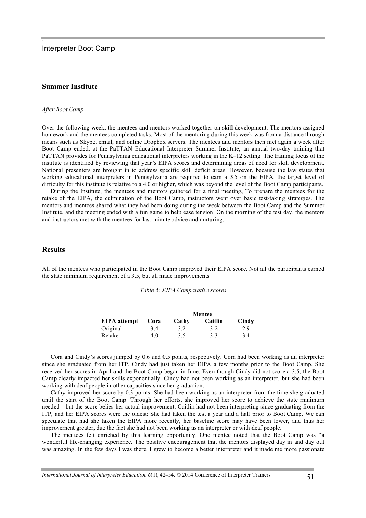## **Summer Institute**

#### *After Boot Camp*

Over the following week, the mentees and mentors worked together on skill development. The mentors assigned homework and the mentees completed tasks. Most of the mentoring during this week was from a distance through means such as Skype, email, and online Dropbox servers. The mentees and mentors then met again a week after Boot Camp ended, at the PaTTAN Educational Interpreter Summer Institute, an annual two-day training that PaTTAN provides for Pennsylvania educational interpreters working in the K–12 setting. The training focus of the institute is identified by reviewing that year's EIPA scores and determining areas of need for skill development. National presenters are brought in to address specific skill deficit areas. However, because the law states that working educational interpreters in Pennsylvania are required to earn a 3.5 on the EIPA, the target level of difficulty for this institute is relative to a 4.0 or higher, which was beyond the level of the Boot Camp participants.

During the Institute, the mentees and mentors gathered for a final meeting, To prepare the mentees for the retake of the EIPA, the culmination of the Boot Camp, instructors went over basic test-taking strategies. The mentors and mentees shared what they had been doing during the week between the Boot Camp and the Summer Institute, and the meeting ended with a fun game to help ease tension. On the morning of the test day, the mentors and instructors met with the mentees for last-minute advice and nurturing.

# **Results**

All of the mentees who participated in the Boot Camp improved their EIPA score. Not all the participants earned the state minimum requirement of a 3.5, but all made improvements.

|                     | <b>Mentee</b> |       |         |       |
|---------------------|---------------|-------|---------|-------|
| <b>EIPA</b> attempt | Cora          | Cathy | Caitlin | Cindy |
| Original            | 3.4           | 3.2   | 3.2     | 2.9   |
| Retake              | 40            | 35    | 33      |       |

*Table 5: EIPA Comparative scores*

Cora and Cindy's scores jumped by 0.6 and 0.5 points, respectively. Cora had been working as an interpreter since she graduated from her ITP. Cindy had just taken her EIPA a few months prior to the Boot Camp. She received her scores in April and the Boot Camp began in June. Even though Cindy did not score a 3.5, the Boot Camp clearly impacted her skills exponentially. Cindy had not been working as an interpreter, but she had been working with deaf people in other capacities since her graduation.

Cathy improved her score by 0.3 points. She had been working as an interpreter from the time she graduated until the start of the Boot Camp. Through her efforts, she improved her score to achieve the state minimum needed—but the score belies her actual improvement. Caitlin had not been interpreting since graduating from the ITP, and her EIPA scores were the oldest: She had taken the test a year and a half prior to Boot Camp. We can speculate that had she taken the EIPA more recently, her baseline score may have been lower, and thus her improvement greater, due the fact she had not been working as an interpreter or with deaf people.

The mentees felt enriched by this learning opportunity. One mentee noted that the Boot Camp was "a wonderful life-changing experience. The positive encouragement that the mentors displayed day in and day out was amazing. In the few days I was there, I grew to become a better interpreter and it made me more passionate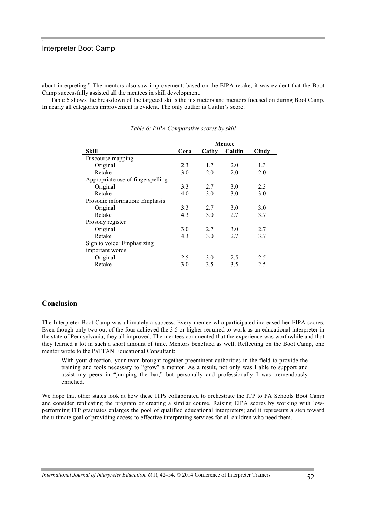about interpreting." The mentors also saw improvement; based on the EIPA retake, it was evident that the Boot Camp successfully assisted all the mentees in skill development.

Table 6 shows the breakdown of the targeted skills the instructors and mentors focused on during Boot Camp. In nearly all categories improvement is evident. The only outlier is Caitlin's score.

|                                   | <b>Mentee</b> |       |         |       |
|-----------------------------------|---------------|-------|---------|-------|
| Skill                             | Cora          | Cathy | Caitlin | Cindy |
| Discourse mapping                 |               |       |         |       |
| Original                          | 2.3           | 1.7   | 2.0     | 1.3   |
| Retake                            | 3.0           | 2.0   | 2.0     | 2.0   |
| Appropriate use of fingerspelling |               |       |         |       |
| Original                          | 3.3           | 2.7   | 3.0     | 2.3   |
| Retake                            | 4.0           | 3.0   | 3.0     | 3.0   |
| Prosodic information: Emphasis    |               |       |         |       |
| Original                          | 3.3           | 2.7   | 3.0     | 3.0   |
| Retake                            | 4.3           | 3.0   | 2.7     | 3.7   |
| Prosody register                  |               |       |         |       |
| Original                          | 3.0           | 2.7   | 3.0     | 2.7   |
| Retake                            | 4.3           | 3.0   | 2.7     | 3.7   |
| Sign to voice: Emphasizing        |               |       |         |       |
| important words                   |               |       |         |       |
| Original                          | 2.5           | 3.0   | 2.5     | 2.5   |
| Retake                            | 3.0           | 3.5   | 3.5     | 2.5   |

*Table 6: EIPA Comparative scores by skill*

## **Conclusion**

The Interpreter Boot Camp was ultimately a success. Every mentee who participated increased her EIPA scores. Even though only two out of the four achieved the 3.5 or higher required to work as an educational interpreter in the state of Pennsylvania, they all improved. The mentees commented that the experience was worthwhile and that they learned a lot in such a short amount of time. Mentors benefited as well. Reflecting on the Boot Camp, one mentor wrote to the PaTTAN Educational Consultant:

With your direction, your team brought together preeminent authorities in the field to provide the training and tools necessary to "grow" a mentor. As a result, not only was I able to support and assist my peers in "jumping the bar," but personally and professionally I was tremendously enriched.

We hope that other states look at how these ITPs collaborated to orchestrate the ITP to PA Schools Boot Camp and consider replicating the program or creating a similar course. Raising EIPA scores by working with lowperforming ITP graduates enlarges the pool of qualified educational interpreters; and it represents a step toward the ultimate goal of providing access to effective interpreting services for all children who need them.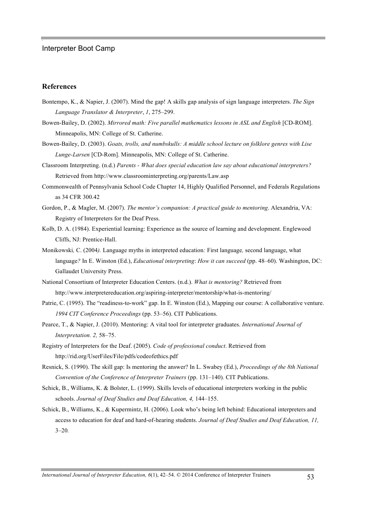# **References**

- Bontempo, K., & Napier, J. (2007). Mind the gap! A skills gap analysis of sign language interpreters. *The Sign Language Translator & Interpreter*, *1*, 275–299.
- Bowen-Bailey, D. (2002). *Mirrored math: Five parallel mathematics lessons in ASL and English* [CD-ROM]. Minneapolis, MN: College of St. Catherine.
- Bowen-Bailey, D. (2003). *Goats, trolls, and numbskulls: A middle school lecture on folklore genres with Lise Lunge-Larsen* [CD-Rom]. Minneapolis, MN: College of St. Catherine.
- Classroom Interpreting. (n.d.) *Parents - What does special education law say about educational interpreters?* Retrieved from http://www.classroominterpreting.org/parents/Law.asp
- Commonwealth of Pennsylvania School Code Chapter 14, Highly Qualified Personnel, and Federals Regulations as 34 CFR 300.42
- Gordon, P., & Magler, M. (2007). *The mentor's companion: A practical guide to mentoring*. Alexandria, VA: Registry of Interpreters for the Deaf Press.
- Kolb, D. A. (1984). Experiential learning: Experience as the source of learning and development. Englewood Cliffs, NJ: Prentice-Hall.
- Monikowski*,* C. (2004*).* Language myths in interpreted education*:* First language*,* second language, what language*?* In E. Winston (Ed.), *Educational interpreting*: *How it can succeed* (pp. 48–60). Washington, DC: Gallaudet University Press.
- National Consortium of Interpreter Education Centers. (n.d.). *What is mentoring?* Retrieved from http://www.interpretereducation.org/aspiring-interpreter/mentorship/what-is-mentoring/
- Patrie, C. (1995). The "readiness-to-work" gap. In E. Winston (Ed.), Mapping our course: A collaborative venture. *1994 CIT Conference Proceedings* (pp. 53–56). CIT Publications.
- Pearce, T., & Napier, J. (2010). Mentoring: A vital tool for interpreter graduates. *International Journal of Interpretation. 2,* 58–75.
- Registry of Interpreters for the Deaf. (2005). *Code of professional conduct*. Retrieved from http://rid.org/UserFiles/File/pdfs/codeofethics.pdf
- Resnick, S. (1990). The skill gap: Is mentoring the answer? In L. Swabey (Ed.), *Proceedings of the 8th National Convention of the Conference of Interpreter Trainers (pp. 131–140). CIT Publications.*
- Schick, B., Williams, K. & Bolster, L. (1999). Skills levels of educational interpreters working in the public schools. *Journal of Deaf Studies and Deaf Education, 4,* 144–155.
- Schick, B., Williams, K., & Kupermintz, H. (2006). Look who's being left behind: Educational interpreters and access to education for deaf and hard-of-hearing students. *Journal of Deaf Studies and Deaf Education, 11,* 3–20*.*